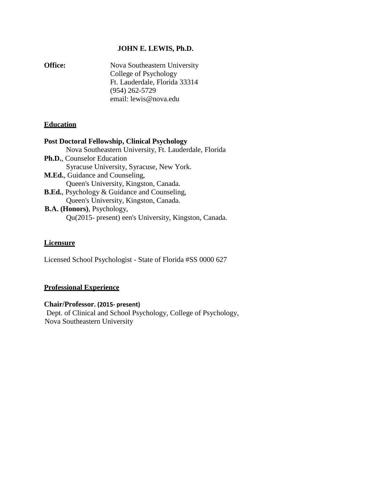# **JOHN E. LEWIS, Ph.D.**

**Office:** Nova Southeastern University College of Psychology Ft. Lauderdale, Florida 33314 (954) 262-5729 [email: lewis@nova.edu](mailto:lewis@nova.edu)

# **Education**

## **Post Doctoral Fellowship, Clinical Psychology**

- Nova Southeastern University, Ft. Lauderdale, Florida **Ph.D.**, Counselor Education Syracuse University, Syracuse, New York. **M.Ed.**, Guidance and Counseling,
	- Queen's University, Kingston, Canada.
- **B.Ed.**, Psychology & Guidance and Counseling, Queen's University, Kingston, Canada. **B.A. (Honors)**, Psychology, Qu(2015- present) een's University, Kingston, Canada.
	-

## **Licensure**

Licensed School Psychologist - State of Florida #SS 0000 627

## **Professional Experience**

## **Chair/Professor. (2015- present)**

 Dept. of Clinical and School Psychology, College of Psychology, Nova Southeastern University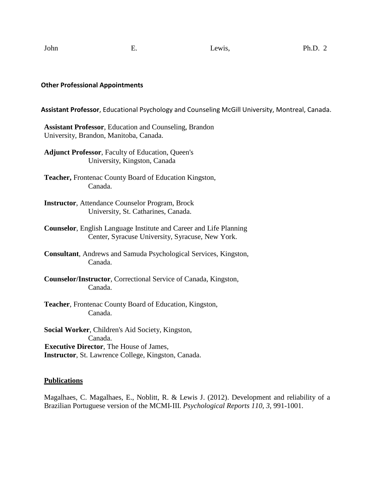#### **Other Professional Appointments**

**Assistant Professor**, Educational Psychology and Counseling McGill University, Montreal, Canada.

**Assistant Professor**, Education and Counseling, Brandon University, Brandon, Manitoba, Canada.

**Adjunct Professor**, Faculty of Education, Queen's University, Kingston, Canada

**Teacher,** Frontenac County Board of Education Kingston, Canada.

**Instructor**, Attendance Counselor Program, Brock University, St. Catharines, Canada.

**Counselor**, English Language Institute and Career and Life Planning Center, Syracuse University, Syracuse, New York.

**Consultant**, Andrews and Samuda Psychological Services, Kingston, Canada.

**Counselor/Instructor**, Correctional Service of Canada, Kingston, Canada.

**Teacher**, Frontenac County Board of Education, Kingston, Canada.

**Social Worker**, Children's Aid Society, Kingston, Canada. **Executive Director**, The House of James, **Instructor**, St. Lawrence College, Kingston, Canada.

## **Publications**

Magalhaes, C. Magalhaes, E., Noblitt, R. & Lewis J. (2012). Development and reliability of a Brazilian Portuguese version of the MCMI-III. *Psychological Reports 110, 3*, 991-1001.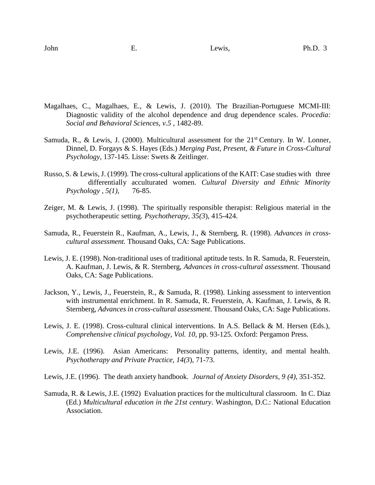- Magalhaes, C., Magalhaes, E., & Lewis, J. (2010). The Brazilian-Portuguese MCMI-III: Diagnostic validity of the alcohol dependence and drug dependence scales. *Procedia: Social and Behavioral Sciences, v.5* , 1482-89.
- Samuda, R., & Lewis, J. (2000). Multicultural assessment for the  $21<sup>st</sup>$  Century. In W. Lonner, Dinnel, D. Forgays & S. Hayes (Eds.) *Merging Past, Present, & Future in Cross-Cultural Psychology,* 137-145. Lisse: Swets & Zeitlinger.
- Russo, S. & Lewis, J. (1999). The cross-cultural applications of the KAIT: Case studies with three differentially acculturated women. *Cultural Diversity and Ethnic Minority Psychology , 5(1),* 76-85.
- Zeiger, M. & Lewis, J. (1998). The spiritually responsible therapist: Religious material in the psychotherapeutic setting. *Psychotherapy, 35(3*), 415-424.
- Samuda, R., Feuerstein R., Kaufman, A., Lewis, J., & Sternberg, R. (1998). *Advances in crosscultural assessment.* Thousand Oaks, CA: Sage Publications.
- Lewis, J. E. (1998). Non-traditional uses of traditional aptitude tests. In R. Samuda, R. Feuerstein, A. Kaufman, J. Lewis, & R. Sternberg, *Advances in cross-cultural assessment.* Thousand Oaks, CA: Sage Publications.
- Jackson, Y., Lewis, J., Feuerstein, R., & Samuda, R. (1998). Linking assessment to intervention with instrumental enrichment. In R. Samuda, R. Feuerstein, A. Kaufman, J. Lewis, & R. Sternberg*, Advances in cross-cultural assessment*. Thousand Oaks, CA: Sage Publications.
- Lewis, J. E. (1998). Cross-cultural clinical interventions. In A.S. Bellack & M. Hersen (Eds.), *Comprehensive clinical psychology, Vol. 10*, pp. 93-125. Oxford: Pergamon Press.
- Lewis, J.E. (1996). Asian Americans: Personality patterns, identity, and mental health. *Psychotherapy and Private Practice, 14(3*), 71-73.
- Lewis, J.E. (1996). The death anxiety handbook*. Journal of Anxiety Disorders, 9 (4),* 351-352.
- Samuda, R. & Lewis, J.E. (1992) Evaluation practices for the multicultural classroom. In C. Diaz (Ed.) *Multicultural education in the 21st century*. Washington, D.C.: National Education Association.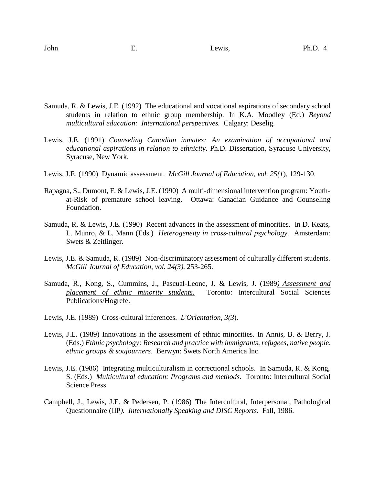- Samuda, R. & Lewis, J.E. (1992) The educational and vocational aspirations of secondary school students in relation to ethnic group membership. In K.A. Moodley (Ed.) *Beyond multicultural education: International perspectives.* Calgary: Deselig.
- Lewis, J.E. (1991) *Counseling Canadian inmates: An examination of occupational and educational aspirations in relation to ethnicity*. Ph.D. Dissertation, Syracuse University, Syracuse, New York.
- Lewis, J.E. (1990) Dynamic assessment. *McGill Journal of Education, vol. 25(1*), 129-130.
- Rapagna, S., Dumont, F. & Lewis, J.E. (1990) A multi-dimensional intervention program: Youthat-Risk of premature school leaving. Ottawa: Canadian Guidance and Counseling Foundation.
- Samuda, R. & Lewis, J.E. (1990) Recent advances in the assessment of minorities. In D. Keats, L. Munro, & L. Mann (Eds.) *Heterogeneity in cross-cultural psychology*. Amsterdam: Swets & Zeitlinger.
- Lewis, J.E. & Samuda, R. (1989) Non-discriminatory assessment of culturally different students. *McGill Journal of Education, vol. 24(3),* 253-265.
- Samuda, R., Kong, S., Cummins, J., Pascual-Leone, J. & Lewis, J. (1989*) Assessment and placement of ethnic minority students.* Toronto: Intercultural Social Sciences Publications/Hogrefe.
- Lewis, J.E. (1989) Cross-cultural inferences. *L'Orientation, 3(3*).
- Lewis, J.E. (1989) Innovations in the assessment of ethnic minorities. In Annis, B. & Berry, J. (Eds.) *Ethnic psychology: Research and practice with immigrants, refugees, native people, ethnic groups & soujourners*. Berwyn: Swets North America Inc.
- Lewis, J.E. (1986) Integrating multiculturalism in correctional schools. In Samuda, R. & Kong, S. (Eds.) *Multicultural education: Programs and methods.* Toronto: Intercultural Social Science Press.
- Campbell, J., Lewis, J.E. & Pedersen, P. (1986) The Intercultural, Interpersonal, Pathological Questionnaire (IIP*). Internationally Speaking and DISC Reports*. Fall, 1986.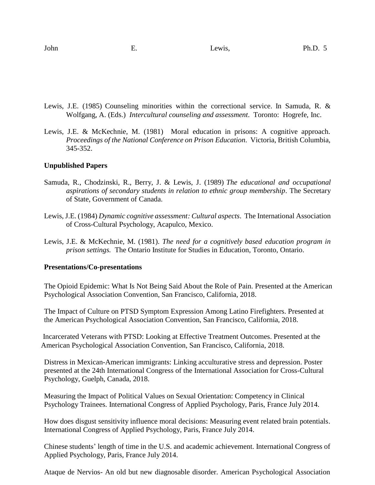- Lewis, J.E. (1985) Counseling minorities within the correctional service. In Samuda, R. & Wolfgang, A. (Eds.) *Intercultural counseling and assessment*. Toronto: Hogrefe, Inc.
- Lewis, J.E. & McKechnie, M. (1981) Moral education in prisons: A cognitive approach. *Proceedings of the National Conference on Prison Education*. Victoria, British Columbia, 345-352.

### **Unpublished Papers**

- Samuda, R., Chodzinski, R., Berry, J. & Lewis, J. (1989) *The educational and occupational aspirations of secondary students in relation to ethnic group membership*. The Secretary of State, Government of Canada.
- Lewis, J.E. (1984) *Dynamic cognitive assessment: Cultural aspects*. The International Association of Cross-Cultural Psychology, Acapulco, Mexico.
- Lewis, J.E. & McKechnie, M. (1981). *The need for a cognitively based education program in prison settings.* The Ontario Institute for Studies in Education, Toronto, Ontario.

#### **Presentations/Co-presentations**

The Opioid Epidemic: What Is Not Being Said About the Role of Pain. Presented at the American Psychological Association Convention, San Francisco, California, 2018.

The Impact of Culture on PTSD Symptom Expression Among Latino Firefighters. Presented at the American Psychological Association Convention, San Francisco, California, 2018.

Incarcerated Veterans with PTSD: Looking at Effective Treatment Outcomes. Presented at the American Psychological Association Convention, San Francisco, California, 2018.

Distress in Mexican-American immigrants: Linking acculturative stress and depression. Poster presented at the 24th International Congress of the International Association for Cross-Cultural Psychology, Guelph, Canada, 2018.

Measuring the Impact of Political Values on Sexual Orientation: Competency in Clinical Psychology Trainees. International Congress of Applied Psychology, Paris, France July 2014.

How does disgust sensitivity influence moral decisions: Measuring event related brain potentials. International Congress of Applied Psychology, Paris, France July 2014.

Chinese students' length of time in the U.S. and academic achievement. International Congress of Applied Psychology, Paris, France July 2014.

Ataque de Nervios- An old but new diagnosable disorder. American Psychological Association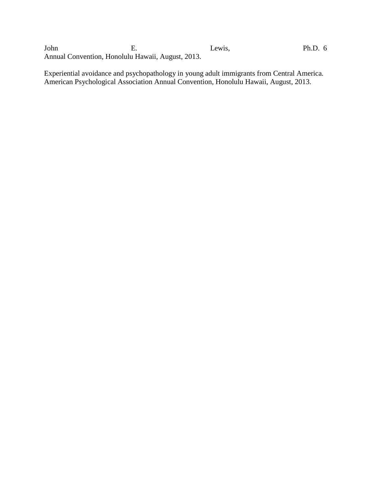John E. Lewis, Ph.D. 6 Annual Convention, Honolulu Hawaii, August, 2013.

Experiential avoidance and psychopathology in young adult immigrants from Central America. American Psychological Association Annual Convention, Honolulu Hawaii, August, 2013.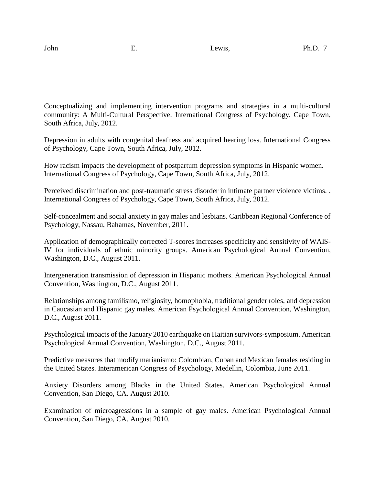Conceptualizing and implementing intervention programs and strategies in a multi-cultural community: A Multi-Cultural Perspective. International Congress of Psychology, Cape Town, South Africa, July, 2012.

Depression in adults with congenital deafness and acquired hearing loss. International Congress of Psychology, Cape Town, South Africa, July, 2012.

How racism impacts the development of postpartum depression symptoms in Hispanic women. International Congress of Psychology, Cape Town, South Africa, July, 2012.

Perceived discrimination and post-traumatic stress disorder in intimate partner violence victims. . International Congress of Psychology, Cape Town, South Africa, July, 2012.

Self-concealment and social anxiety in gay males and lesbians. Caribbean Regional Conference of Psychology, Nassau, Bahamas, November, 2011.

Application of demographically corrected T-scores increases specificity and sensitivity of WAIS-IV for individuals of ethnic minority groups. American Psychological Annual Convention, Washington, D.C., August 2011.

Intergeneration transmission of depression in Hispanic mothers. American Psychological Annual Convention, Washington, D.C., August 2011.

Relationships among familismo, religiosity, homophobia, traditional gender roles, and depression in Caucasian and Hispanic gay males. American Psychological Annual Convention, Washington, D.C., August 2011.

Psychological impacts of the January 2010 earthquake on Haitian survivors-symposium. American Psychological Annual Convention, Washington, D.C., August 2011.

Predictive measures that modify marianismo: Colombian, Cuban and Mexican females residing in the United States. Interamerican Congress of Psychology, Medellin, Colombia, June 2011.

Anxiety Disorders among Blacks in the United States. American Psychological Annual Convention, San Diego, CA. August 2010.

Examination of microagressions in a sample of gay males. American Psychological Annual Convention, San Diego, CA. August 2010.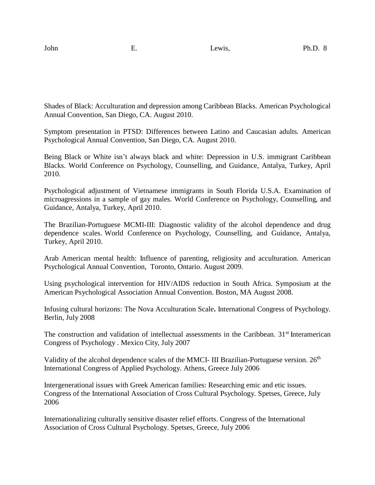Shades of Black: Acculturation and depression among Caribbean Blacks. American Psychological Annual Convention, San Diego, CA. August 2010.

Symptom presentation in PTSD: Differences between Latino and Caucasian adults. American Psychological Annual Convention, San Diego, CA. August 2010.

Being Black or White isn't always black and white: Depression in U.S. immigrant Caribbean Blacks. World Conference on Psychology, Counselling, and Guidance, Antalya, Turkey, April 2010.

Psychological adjustment of Vietnamese immigrants in South Florida U.S.A. Examination of microagressions in a sample of gay males. World Conference on Psychology, Counselling, and Guidance, Antalya, Turkey, April 2010.

The Brazilian-Portuguese MCMI-III: Diagnostic validity of the alcohol dependence and drug dependence scales. World Conference on Psychology, Counselling, and Guidance, Antalya, Turkey, April 2010.

Arab American mental health: Influence of parenting, religiosity and acculturation. American Psychological Annual Convention, Toronto, Ontario. August 2009.

Using psychological intervention for HIV/AIDS reduction in South Africa. Symposium at the American Psychological Association Annual Convention. Boston, MA August 2008.

Infusing cultural horizons: The Nova [Acculturation](https://www1.icp2008.org/guest/AbstractView?ABSID=14843) Scale**.** International Congress of Psychology. Berlin, July 2008

The construction and validation of intellectual assessments in the Caribbean. 31<sup>st</sup> Interamerican Congress of Psychology . Mexico City, July 2007

Validity of the alcohol dependence scales of the MMCI- III Brazilian-Portuguese version. 26<sup>th</sup> International Congress of Applied Psychology. Athens, Greece July 2006

Intergenerational issues with Greek American families: Researching emic and etic issues. Congress of the International Association of Cross Cultural Psychology. Spetses, Greece, July 2006

Internationalizing culturally sensitive disaster relief efforts. Congress of the International Association of Cross Cultural Psychology. Spetses, Greece, July 2006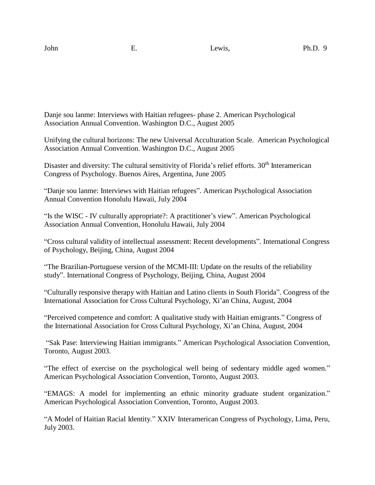Danje sou lanme: Interviews with Haitian refugees- phase 2. American Psychological Association Annual Convention. Washington D.C., August 2005

Unifying the cultural horizons: The new Universal Acculturation Scale. American Psychological Association Annual Convention. Washington D.C., August 2005

Disaster and diversity: The cultural sensitivity of Florida's relief efforts. 30<sup>th</sup> Interamerican Congress of Psychology. Buenos Aires, Argentina, June 2005

"Danje sou lanme: Interviews with Haitian refugees". American Psychological Association Annual Convention Honolulu Hawaii, July 2004

"Is the WISC - IV culturally appropriate?: A practitioner's view". American Psychological Association Annual Convention, Honolulu Hawaii, July 2004

"Cross cultural validity of intellectual assessment: Recent developments". International Congress of Psychology, Beijing, China, August 2004

"The Brazilian-Portuguese version of the MCMI-III: Update on the results of the reliability study". International Congress of Psychology, Beijing, China, August 2004

"Culturally responsive therapy with Haitian and Latino clients in South Florida". Congress of the International Association for Cross Cultural Psychology, Xi'an China, August, 2004

"Perceived competence and comfort: A qualitative study with Haitian emigrants." Congress of the International Association for Cross Cultural Psychology, Xi'an China, August, 2004

"Sak Pase: Interviewing Haitian immigrants." American Psychological Association Convention, Toronto, August 2003.

"The effect of exercise on the psychological well being of sedentary middle aged women." American Psychological Association Convention, Toronto, August 2003.

"EMAGS: A model for implementing an ethnic minority graduate student organization." American Psychological Association Convention, Toronto, August 2003.

"A Model of Haitian Racial Identity." XXIV Interamerican Congress of Psychology, Lima, Peru, July 2003.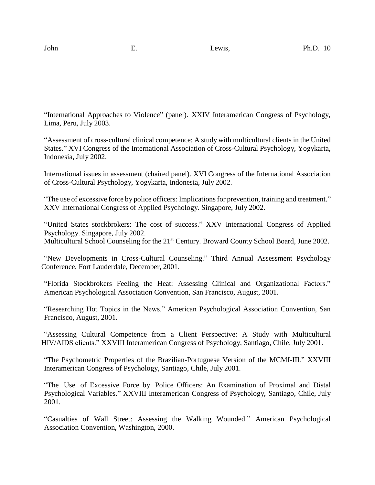"International Approaches to Violence" (panel). XXIV Interamerican Congress of Psychology, Lima, Peru, July 2003.

"Assessment of cross-cultural clinical competence: A study with multicultural clients in the United States." XVI Congress of the International Association of Cross-Cultural Psychology, Yogykarta, Indonesia, July 2002.

International issues in assessment (chaired panel). XVI Congress of the International Association of Cross-Cultural Psychology, Yogykarta, Indonesia, July 2002.

"The use of excessive force by police officers: Implications for prevention, training and treatment." XXV International Congress of Applied Psychology. Singapore, July 2002.

"United States stockbrokers: The cost of success." XXV International Congress of Applied Psychology. Singapore, July 2002.

Multicultural School Counseling for the 21<sup>st</sup> Century. Broward County School Board, June 2002.

"New Developments in Cross-Cultural Counseling." Third Annual Assessment Psychology Conference, Fort Lauderdale, December, 2001.

"Florida Stockbrokers Feeling the Heat: Assessing Clinical and Organizational Factors." American Psychological Association Convention, San Francisco, August, 2001.

"Researching Hot Topics in the News." American Psychological Association Convention, San Francisco, August, 2001.

"Assessing Cultural Competence from a Client Perspective: A Study with Multicultural HIV/AIDS clients." XXVIII Interamerican Congress of Psychology, Santiago, Chile, July 2001.

"The Psychometric Properties of the Brazilian-Portuguese Version of the MCMI-III." XXVIII Interamerican Congress of Psychology, Santiago, Chile, July 2001.

"The Use of Excessive Force by Police Officers: An Examination of Proximal and Distal Psychological Variables." XXVIII Interamerican Congress of Psychology, Santiago, Chile, July 2001.

"Casualties of Wall Street: Assessing the Walking Wounded." American Psychological Association Convention, Washington, 2000.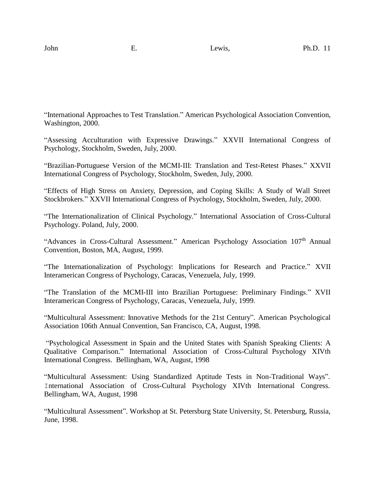"International Approaches to Test Translation." American Psychological Association Convention, Washington, 2000.

"Assessing Acculturation with Expressive Drawings." XXVII International Congress of Psychology, Stockholm, Sweden, July, 2000.

"Brazilian-Portuguese Version of the MCMI-III: Translation and Test-Retest Phases." XXVII International Congress of Psychology, Stockholm, Sweden, July, 2000.

"Effects of High Stress on Anxiety, Depression, and Coping Skills: A Study of Wall Street Stockbrokers." XXVII International Congress of Psychology, Stockholm, Sweden, July, 2000.

"The Internationalization of Clinical Psychology." International Association of Cross-Cultural Psychology. Poland, July, 2000.

"Advances in Cross-Cultural Assessment." American Psychology Association 107<sup>th</sup> Annual Convention, Boston, MA, August, 1999.

"The Internationalization of Psychology: Implications for Research and Practice." XVII Interamerican Congress of Psychology, Caracas, Venezuela, July, 1999.

"The Translation of the MCMI-III into Brazilian Portuguese: Preliminary Findings." XVII Interamerican Congress of Psychology, Caracas, Venezuela, July, 1999.

"Multicultural Assessment: Innovative Methods for the 21st Century". American Psychological Association 106th Annual Convention, San Francisco, CA, August, 1998.

"Psychological Assessment in Spain and the United States with Spanish Speaking Clients: A Qualitative Comparison." International Association of Cross-Cultural Psychology XIVth International Congress. Bellingham, WA, August, 1998

"Multicultural Assessment: Using Standardized Aptitude Tests in Non-Traditional Ways". International Association of Cross-Cultural Psychology XIVth International Congress. Bellingham, WA, August, 1998

"Multicultural Assessment". Workshop at St. Petersburg State University, St. Petersburg, Russia, June, 1998.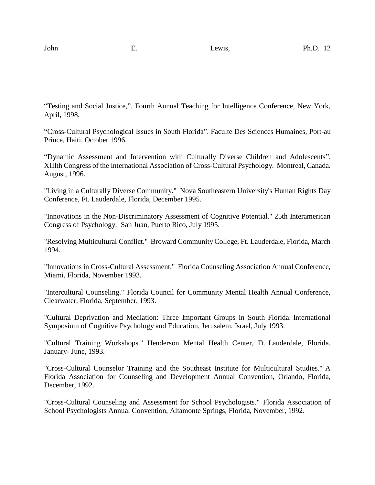"Testing and Social Justice,". Fourth Annual Teaching for Intelligence Conference, New York, April, 1998.

"Cross-Cultural Psychological Issues in South Florida". Faculte Des Sciences Humaines, Port-au Prince, Haiti, October 1996.

"Dynamic Assessment and Intervention with Culturally Diverse Children and Adolescents". XIIIth Congress of the International Association of Cross-Cultural Psychology. Montreal, Canada. August, 1996.

"Living in a Culturally Diverse Community." Nova Southeastern University's Human Rights Day Conference, Ft. Lauderdale, Florida, December 1995.

"Innovations in the Non-Discriminatory Assessment of Cognitive Potential." 25th Interamerican Congress of Psychology. San Juan, Puerto Rico, July 1995.

"Resolving Multicultural Conflict." Broward CommunityCollege, Ft. Lauderdale, Florida, March 1994.

"Innovations in Cross-Cultural Assessment." Florida Counseling Association Annual Conference, Miami, Florida, November 1993.

"Intercultural Counseling." Florida Council for Community Mental Health Annual Conference, Clearwater, Florida, September, 1993.

"Cultural Deprivation and Mediation: Three Important Groups in South Florida. International Symposium of Cognitive Psychology and Education, Jerusalem, Israel, July 1993.

"Cultural Training Workshops." Henderson Mental Health Center, Ft. Lauderdale, Florida. January- June, 1993.

"Cross-Cultural Counselor Training and the Southeast Institute for Multicultural Studies." A Florida Association for Counseling and Development Annual Convention, Orlando, Florida, December, 1992.

"Cross-Cultural Counseling and Assessment for School Psychologists." Florida Association of School Psychologists Annual Convention, Altamonte Springs, Florida, November, 1992.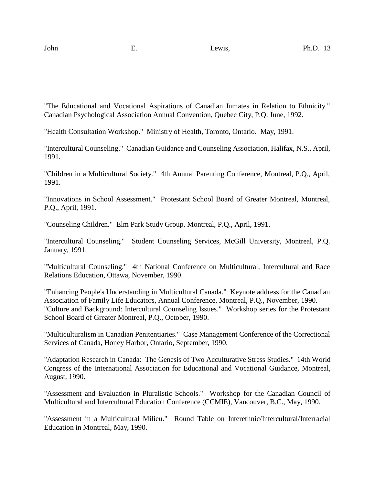"The Educational and Vocational Aspirations of Canadian Inmates in Relation to Ethnicity." Canadian Psychological Association Annual Convention, Quebec City, P.Q. June, 1992.

"Health Consultation Workshop." Ministry of Health, Toronto, Ontario. May, 1991.

"Intercultural Counseling." Canadian Guidance and Counseling Association, Halifax, N.S., April, 1991.

"Children in a Multicultural Society." 4th Annual Parenting Conference, Montreal, P.Q., April, 1991.

"Innovations in School Assessment." Protestant School Board of Greater Montreal, Montreal, P.Q., April, 1991.

"Counseling Children." Elm Park Study Group, Montreal, P.Q., April, 1991.

"Intercultural Counseling." Student Counseling Services, McGill University, Montreal, P.Q. January, 1991.

"Multicultural Counseling." 4th National Conference on Multicultural, Intercultural and Race Relations Education, Ottawa, November, 1990.

"Enhancing People's Understanding in Multicultural Canada." Keynote address for the Canadian Association of Family Life Educators, Annual Conference, Montreal, P.Q., November, 1990. "Culture and Background: Intercultural Counseling Issues." Workshop series for the Protestant School Board of Greater Montreal, P.Q., October, 1990.

"Multiculturalism in Canadian Penitentiaries." Case Management Conference of the Correctional Services of Canada, Honey Harbor, Ontario, September, 1990.

"Adaptation Research in Canada: The Genesis of Two Acculturative Stress Studies." 14th World Congress of the International Association for Educational and Vocational Guidance, Montreal, August, 1990.

"Assessment and Evaluation in Pluralistic Schools." Workshop for the Canadian Council of Multicultural and Intercultural Education Conference (CCMIE), Vancouver, B.C., May, 1990.

"Assessment in a Multicultural Milieu." Round Table on Interethnic/Intercultural/Interracial Education in Montreal, May, 1990.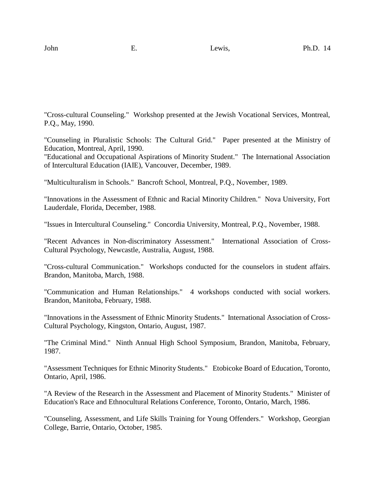"Cross-cultural Counseling." Workshop presented at the Jewish Vocational Services, Montreal, P.Q., May, 1990.

"Counseling in Pluralistic Schools: The Cultural Grid." Paper presented at the Ministry of Education, Montreal, April, 1990.

"Educational and Occupational Aspirations of Minority Student." The International Association of Intercultural Education (IAIE), Vancouver, December, 1989.

"Multiculturalism in Schools." Bancroft School, Montreal, P.Q., November, 1989.

"Innovations in the Assessment of Ethnic and Racial Minority Children." Nova University, Fort Lauderdale, Florida, December, 1988.

"Issues in Intercultural Counseling." Concordia University, Montreal, P.Q., November, 1988.

"Recent Advances in Non-discriminatory Assessment." International Association of Cross-Cultural Psychology, Newcastle, Australia, August, 1988.

"Cross-cultural Communication." Workshops conducted for the counselors in student affairs. Brandon, Manitoba, March, 1988.

"Communication and Human Relationships." 4 workshops conducted with social workers. Brandon, Manitoba, February, 1988.

"Innovations in the Assessment of Ethnic Minority Students." International Association of Cross-Cultural Psychology, Kingston, Ontario, August, 1987.

"The Criminal Mind." Ninth Annual High School Symposium, Brandon, Manitoba, February, 1987.

"Assessment Techniques for Ethnic Minority Students." Etobicoke Board of Education, Toronto, Ontario, April, 1986.

"A Review of the Research in the Assessment and Placement of Minority Students." Minister of Education's Race and Ethnocultural Relations Conference, Toronto, Ontario, March, 1986.

"Counseling, Assessment, and Life Skills Training for Young Offenders." Workshop, Georgian College, Barrie, Ontario, October, 1985.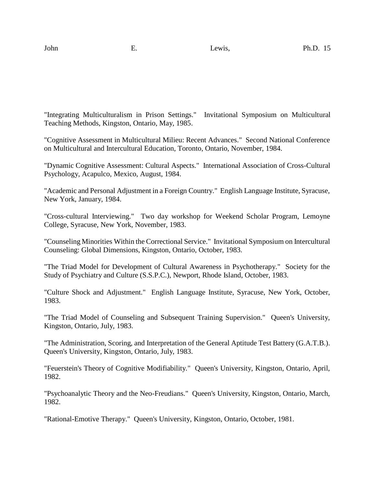"Integrating Multiculturalism in Prison Settings." Invitational Symposium on Multicultural Teaching Methods, Kingston, Ontario, May, 1985.

"Cognitive Assessment in Multicultural Milieu: Recent Advances." Second National Conference on Multicultural and Intercultural Education, Toronto, Ontario, November, 1984.

"Dynamic Cognitive Assessment: Cultural Aspects." International Association of Cross-Cultural Psychology, Acapulco, Mexico, August, 1984.

"Academic and Personal Adjustment in a Foreign Country." English Language Institute, Syracuse, New York, January, 1984.

"Cross-cultural Interviewing." Two day workshop for Weekend Scholar Program, Lemoyne College, Syracuse, New York, November, 1983.

"Counseling Minorities Within the Correctional Service." Invitational Symposium on Intercultural Counseling: Global Dimensions, Kingston, Ontario, October, 1983.

"The Triad Model for Development of Cultural Awareness in Psychotherapy." Society for the Study of Psychiatry and Culture (S.S.P.C.), Newport, Rhode Island, October, 1983.

"Culture Shock and Adjustment." English Language Institute, Syracuse, New York, October, 1983.

"The Triad Model of Counseling and Subsequent Training Supervision." Queen's University, Kingston, Ontario, July, 1983.

"The Administration, Scoring, and Interpretation of the General Aptitude Test Battery (G.A.T.B.). Queen's University, Kingston, Ontario, July, 1983.

"Feuerstein's Theory of Cognitive Modifiability." Queen's University, Kingston, Ontario, April, 1982.

"Psychoanalytic Theory and the Neo-Freudians." Queen's University, Kingston, Ontario, March, 1982.

"Rational-Emotive Therapy." Queen's University, Kingston, Ontario, October, 1981.